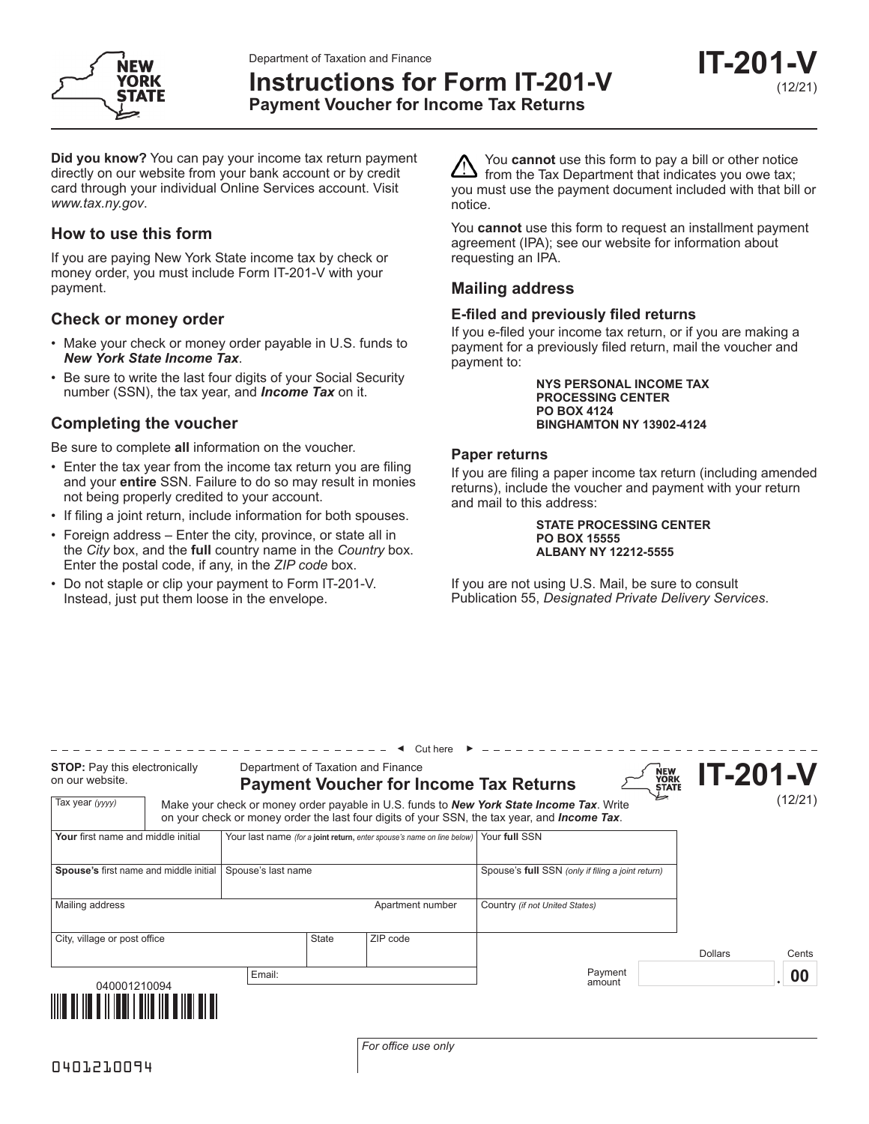Department of Taxation and Finance



**Instructions for Form IT-201-V**

**IT-201-V** (12/21)

**Payment Voucher for Income Tax Returns**

**Did you know?** You can pay your income tax return payment directly on our website from your bank account or by credit card through your individual Online Services account. Visit *www.tax.ny.gov*.

# **How to use this form**

If you are paying New York State income tax by check or money order, you must include Form IT-201-V with your payment.

## **Check or money order**

- Make your check or money order payable in U.S. funds to *New York State Income Tax*.
- Be sure to write the last four digits of your Social Security number (SSN), the tax year, and *Income Tax* on it.

# **Completing the voucher**

Be sure to complete **all** information on the voucher.

- Enter the tax year from the income tax return you are filing and your **entire** SSN. Failure to do so may result in monies not being properly credited to your account.
- If filing a joint return, include information for both spouses.
- Foreign address Enter the city, province, or state all in the *City* box, and the **full** country name in the *Country* box. Enter the postal code, if any, in the *ZIP code* box.
- Do not staple or clip your payment to Form IT-201-V. Instead, just put them loose in the envelope.

You **cannot** use this form to pay a bill or other notice from the Tax Department that indicates you owe tax; you must use the payment document included with that bill or notice.

You **cannot** use this form to request an installment payment agreement (IPA); see our website for information about requesting an IPA.

## **Mailing address**

## **E-filed and previously filed returns**

If you e-filed your income tax return, or if you are making a payment for a previously filed return, mail the voucher and payment to:

> **NYS PERSONAL INCOME TAX PROCESSING CENTER PO BOX 4124 BINGHAMTON NY 13902-4124**

## **Paper returns**

If you are filing a paper income tax return (including amended returns), include the voucher and payment with your return and mail to this address:

> **STATE PROCESSING CENTER PO BOX 15555 ALBANY NY 12212-5555**

If you are not using U.S. Mail, be sure to consult Publication 55, *Designated Private Delivery Services*.

| <b>STOP:</b> Pay this electronically<br>on our website. |  | Cut here<br>Department of Taxation and Finance                         |       |                                                                              |                                                                                                                                                                                                  | NEW<br>YORK<br>STATE | <b>IT-201-V</b> |                 |
|---------------------------------------------------------|--|------------------------------------------------------------------------|-------|------------------------------------------------------------------------------|--------------------------------------------------------------------------------------------------------------------------------------------------------------------------------------------------|----------------------|-----------------|-----------------|
| Tax year (yyyy)                                         |  |                                                                        |       | <b>Payment Voucher for Income Tax Returns</b>                                | Make your check or money order payable in U.S. funds to <b>New York State Income Tax</b> . Write<br>on your check or money order the last four digits of your SSN, the tax year, and Income Tax. |                      |                 | (12/21)         |
| Your first name and middle initial                      |  | Your last name (for a joint return, enter spouse's name on line below) |       |                                                                              | Your full SSN                                                                                                                                                                                    |                      |                 |                 |
| Spouse's first name and middle initial                  |  | Spouse's last name                                                     |       |                                                                              | Spouse's full SSN (only if filing a joint return)                                                                                                                                                |                      |                 |                 |
| Mailing address                                         |  |                                                                        |       | Apartment number                                                             | Country (if not United States)                                                                                                                                                                   |                      |                 |                 |
| City, village or post office                            |  |                                                                        | State | ZIP code                                                                     |                                                                                                                                                                                                  |                      | <b>Dollars</b>  | Cents           |
| Email:<br>040001210094                                  |  |                                                                        |       |                                                                              | Payment<br>amount                                                                                                                                                                                |                      |                 | $\overline{00}$ |
| <u> IIII O III O IIIII III OO O</u>                     |  |                                                                        |       |                                                                              |                                                                                                                                                                                                  |                      |                 |                 |
|                                                         |  |                                                                        |       | $T_{\alpha\beta}$ $\alpha$ $\beta$ $\beta$ $\alpha$ $\beta$ $\alpha$ $\beta$ |                                                                                                                                                                                                  |                      |                 |                 |